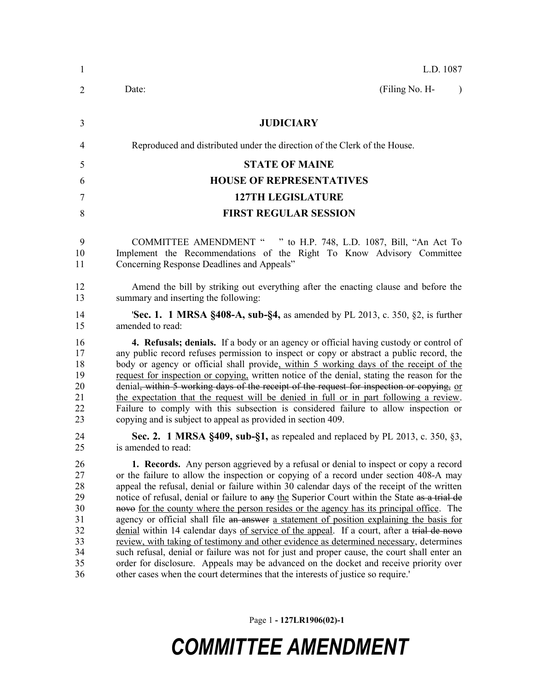| $\mathbf{1}$                                                   | L.D. 1087                                                                                                                                                                                                                                                                                                                                                                                                                                                                                                                                                                                                                                                                                                                                                                                                                                                                                                                                                                                                                                       |
|----------------------------------------------------------------|-------------------------------------------------------------------------------------------------------------------------------------------------------------------------------------------------------------------------------------------------------------------------------------------------------------------------------------------------------------------------------------------------------------------------------------------------------------------------------------------------------------------------------------------------------------------------------------------------------------------------------------------------------------------------------------------------------------------------------------------------------------------------------------------------------------------------------------------------------------------------------------------------------------------------------------------------------------------------------------------------------------------------------------------------|
| $\overline{2}$                                                 | (Filing No. H-<br>Date:<br>$\lambda$                                                                                                                                                                                                                                                                                                                                                                                                                                                                                                                                                                                                                                                                                                                                                                                                                                                                                                                                                                                                            |
| 3                                                              | <b>JUDICIARY</b>                                                                                                                                                                                                                                                                                                                                                                                                                                                                                                                                                                                                                                                                                                                                                                                                                                                                                                                                                                                                                                |
| $\overline{4}$                                                 | Reproduced and distributed under the direction of the Clerk of the House.                                                                                                                                                                                                                                                                                                                                                                                                                                                                                                                                                                                                                                                                                                                                                                                                                                                                                                                                                                       |
| 5                                                              | <b>STATE OF MAINE</b>                                                                                                                                                                                                                                                                                                                                                                                                                                                                                                                                                                                                                                                                                                                                                                                                                                                                                                                                                                                                                           |
| 6                                                              | <b>HOUSE OF REPRESENTATIVES</b>                                                                                                                                                                                                                                                                                                                                                                                                                                                                                                                                                                                                                                                                                                                                                                                                                                                                                                                                                                                                                 |
| 7                                                              | <b>127TH LEGISLATURE</b>                                                                                                                                                                                                                                                                                                                                                                                                                                                                                                                                                                                                                                                                                                                                                                                                                                                                                                                                                                                                                        |
| 8                                                              | <b>FIRST REGULAR SESSION</b>                                                                                                                                                                                                                                                                                                                                                                                                                                                                                                                                                                                                                                                                                                                                                                                                                                                                                                                                                                                                                    |
| 9<br>10<br>11                                                  | COMMITTEE AMENDMENT " " to H.P. 748, L.D. 1087, Bill, "An Act To<br>Implement the Recommendations of the Right To Know Advisory Committee<br>Concerning Response Deadlines and Appeals"                                                                                                                                                                                                                                                                                                                                                                                                                                                                                                                                                                                                                                                                                                                                                                                                                                                         |
| 12<br>13                                                       | Amend the bill by striking out everything after the enacting clause and before the<br>summary and inserting the following:                                                                                                                                                                                                                                                                                                                                                                                                                                                                                                                                                                                                                                                                                                                                                                                                                                                                                                                      |
| 14<br>15                                                       | 'Sec. 1. 1 MRSA §408-A, sub-§4, as amended by PL 2013, c. 350, §2, is further<br>amended to read:                                                                                                                                                                                                                                                                                                                                                                                                                                                                                                                                                                                                                                                                                                                                                                                                                                                                                                                                               |
| 16<br>17<br>18<br>19<br>20<br>21<br>22<br>23                   | 4. Refusals; denials. If a body or an agency or official having custody or control of<br>any public record refuses permission to inspect or copy or abstract a public record, the<br>body or agency or official shall provide, within 5 working days of the receipt of the<br>request for inspection or copying, written notice of the denial, stating the reason for the<br>denial, within 5 working days of the receipt of the request for inspection or copying, or<br>the expectation that the request will be denied in full or in part following a review.<br>Failure to comply with this subsection is considered failure to allow inspection or<br>copying and is subject to appeal as provided in section 409.                                                                                                                                                                                                                                                                                                                         |
| 24<br>25                                                       | Sec. 2. 1 MRSA §409, sub-§1, as repealed and replaced by PL 2013, c. 350, §3,<br>is amended to read:                                                                                                                                                                                                                                                                                                                                                                                                                                                                                                                                                                                                                                                                                                                                                                                                                                                                                                                                            |
| 26<br>27<br>28<br>29<br>30<br>31<br>32<br>33<br>34<br>35<br>36 | <b>1. Records.</b> Any person aggrieved by a refusal or denial to inspect or copy a record<br>or the failure to allow the inspection or copying of a record under section 408-A may<br>appeal the refusal, denial or failure within 30 calendar days of the receipt of the written<br>notice of refusal, denial or failure to any the Superior Court within the State as a trial de<br>nove for the county where the person resides or the agency has its principal office. The<br>agency or official shall file an answer a statement of position explaining the basis for<br>denial within 14 calendar days of service of the appeal. If a court, after a trial de nove<br>review, with taking of testimony and other evidence as determined necessary, determines<br>such refusal, denial or failure was not for just and proper cause, the court shall enter an<br>order for disclosure. Appeals may be advanced on the docket and receive priority over<br>other cases when the court determines that the interests of justice so require. |

Page 1 **- 127LR1906(02)-1**

## *COMMITTEE AMENDMENT*